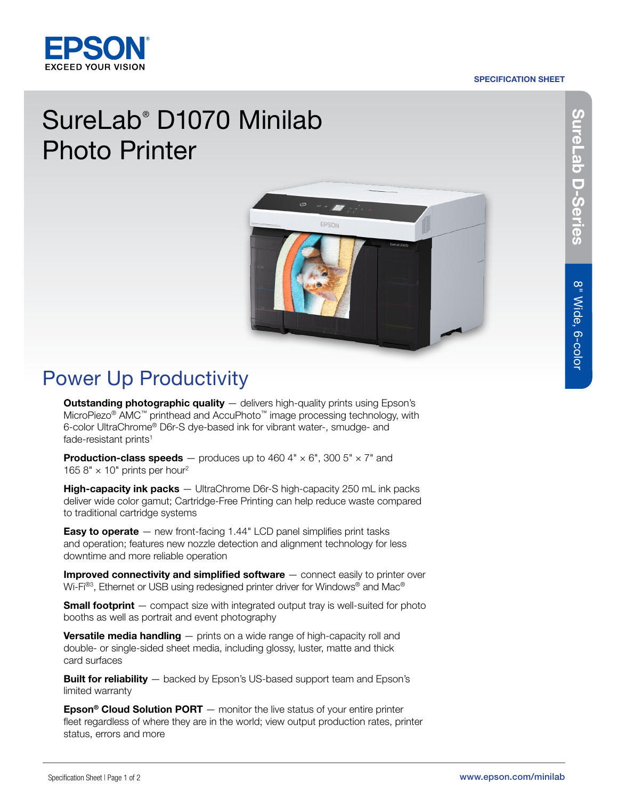#### SPECIFICATION SHEET



# SureLab® D1070 Minilab Photo Printer



## Power Up Productivity

**Outstanding photographic quality** - delivers high-quality prints using Epson's MicroPiezo® AMC™ printhead and AccuPhoto™ image processing technology, with 6-color UltraChrome® D6r-S dye-based ink for vibrant water-, smudge- and fade-resistant prints<sup>1</sup>

**Production-class speeds** — produces up to 460 4"  $\times$  6", 300 5"  $\times$  7" and 165 8"  $\times$  10" prints per hour<sup>2</sup>

**High-capacity ink packs** — UltraChrome D6r-S high-capacity 250 mL ink packs deliver wide color gamut; Cartridge-Free Printing can help reduce waste compared to traditional cartridge systems

**Easy to operate**  $-$  new front-facing 1.44" LCD panel simplifies print tasks and operation; features new nozzle detection and alignment technology for less downtime and more reliable operation

**Improved connectivity and simplified software** — connect easily to printer over Wi-Fi®3, Ethernet or USB using redesigned printer driver for Windows® and Mac®

**Small footprint** — compact size with integrated output tray is well-suited for photo booths as well as portrait and event photography

**Versatile media handling**  $-$  prints on a wide range of high-capacity roll and double- or single-sided sheet media, including glossy, luster, matte and thick card surfaces

**Built for reliability**  $-$  backed by Epson's US-based support team and Epson's limited warranty

**Epson<sup>®</sup> Cloud Solution PORT**  $-$  monitor the live status of your entire printer fleet regardless of where they are in the world; view output production rates, printer status, errors and more

SureLab-Series SureLab D-Series